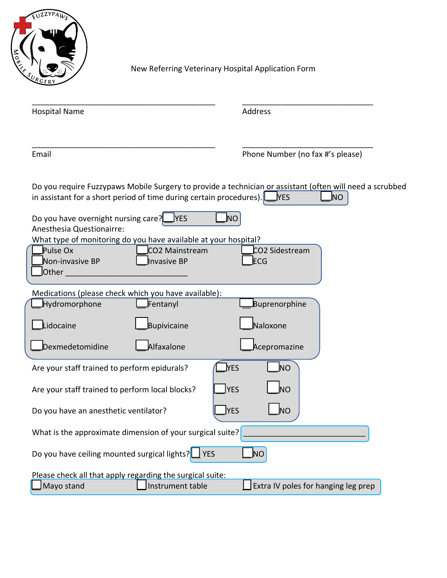

New Referring Veterinary Hospital Application Form

| <b>Hospital Name</b>                                                                            |                                                                                                                | Address                                                                                                                       |
|-------------------------------------------------------------------------------------------------|----------------------------------------------------------------------------------------------------------------|-------------------------------------------------------------------------------------------------------------------------------|
| Email                                                                                           |                                                                                                                | Phone Number (no fax #'s please)                                                                                              |
|                                                                                                 | in assistant for a short period of time during certain procedures).                                            | Do you require Fuzzypaws Mobile Surgery to provide a technician or assistant (often will need a scrubbed<br>ΝO<br><b>TYES</b> |
| Do you have overnight nursing care?<br>Anesthesia Questionairre:<br>Pulse Ox<br>Non-invasive BP | <b>YES</b><br>What type of monitoring do you have available at your hospital?<br>CO2 Mainstream<br>Invasive BP | ΝO<br>CO2 Sidestream<br><b>ECG</b>                                                                                            |
| Other                                                                                           |                                                                                                                |                                                                                                                               |
| Hydromorphone                                                                                   | Medications (please check which you have available):<br>Fentanyl                                               | Buprenorphine                                                                                                                 |
| idocaine                                                                                        | Bupivicaine                                                                                                    | Naloxone                                                                                                                      |
| Dexmedetomidine                                                                                 | Alfaxalone                                                                                                     | Acepromazine                                                                                                                  |
| <u>NES</u><br>Are your staff trained to perform epidurals?<br>ΝO                                |                                                                                                                |                                                                                                                               |
| ΝO<br><b>YES</b><br>Are your staff trained to perform local blocks?                             |                                                                                                                |                                                                                                                               |
| <b>YES</b><br><b>NO</b><br>Do you have an anesthetic ventilator?                                |                                                                                                                |                                                                                                                               |
|                                                                                                 | What is the approximate dimension of your surgical suite?                                                      |                                                                                                                               |
| Do you have ceiling mounted surgical lights?                                                    | <b>YES</b>                                                                                                     | NO                                                                                                                            |
|                                                                                                 | Please check all that apply regarding the surgical suite:                                                      |                                                                                                                               |
| Mayo stand                                                                                      | Instrument table                                                                                               | Extra IV poles for hanging leg prep                                                                                           |